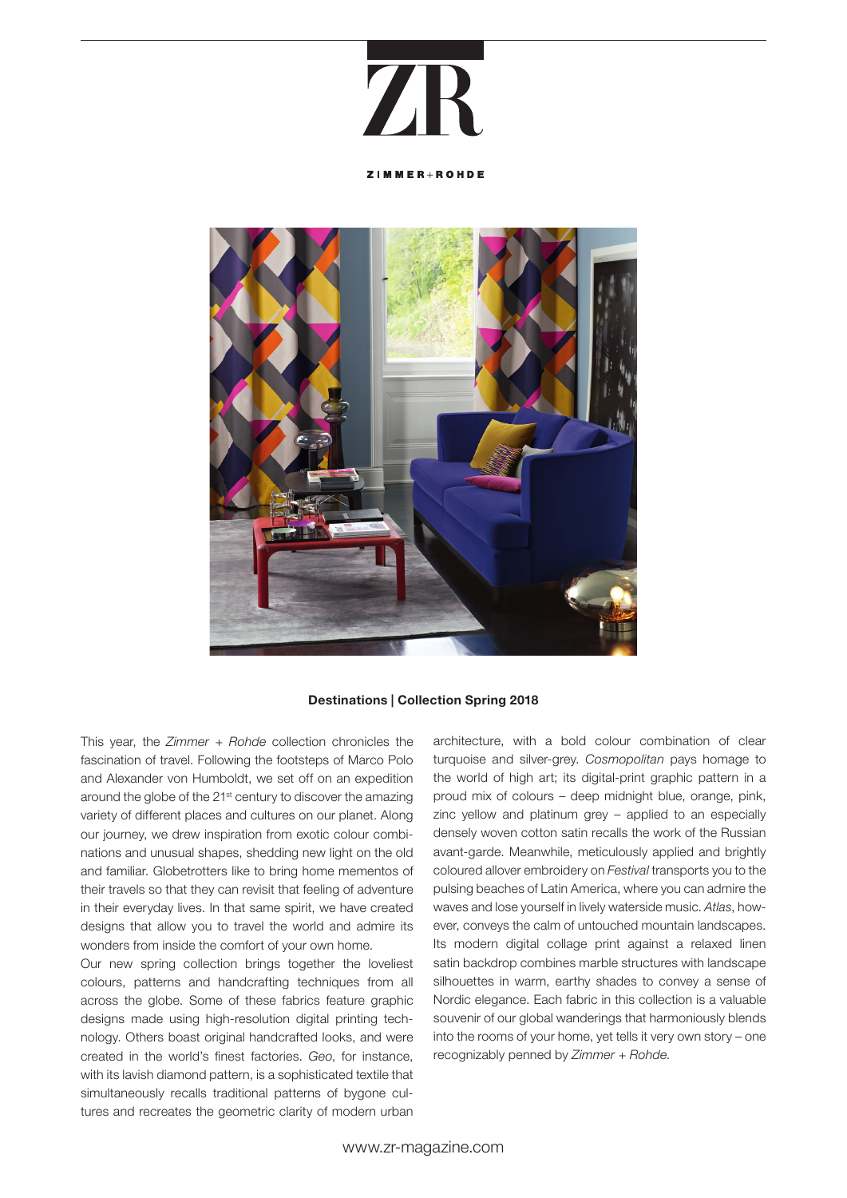## **7R**

ZIMMER+ROHDE



#### Destinations | Collection Spring 2018

This year, the *Zimmer + Rohde* collection chronicles the fascination of travel. Following the footsteps of Marco Polo and Alexander von Humboldt, we set off on an expedition around the globe of the 21<sup>st</sup> century to discover the amazing variety of different places and cultures on our planet. Along our journey, we drew inspiration from exotic colour combinations and unusual shapes, shedding new light on the old and familiar. Globetrotters like to bring home mementos of their travels so that they can revisit that feeling of adventure in their everyday lives. In that same spirit, we have created designs that allow you to travel the world and admire its wonders from inside the comfort of your own home.

Our new spring collection brings together the loveliest colours, patterns and handcrafting techniques from all across the globe. Some of these fabrics feature graphic designs made using high-resolution digital printing technology. Others boast original handcrafted looks, and were created in the world's finest factories. *Geo*, for instance, with its lavish diamond pattern, is a sophisticated textile that simultaneously recalls traditional patterns of bygone cultures and recreates the geometric clarity of modern urban

architecture, with a bold colour combination of clear turquoise and silver-grey. *Cosmopolitan* pays homage to the world of high art; its digital-print graphic pattern in a proud mix of colours – deep midnight blue, orange, pink, zinc yellow and platinum grey – applied to an especially densely woven cotton satin recalls the work of the Russian avant-garde. Meanwhile, meticulously applied and brightly coloured allover embroidery on *Festival* transports you to the pulsing beaches of Latin America, where you can admire the waves and lose yourself in lively waterside music. *Atlas*, however, conveys the calm of untouched mountain landscapes. Its modern digital collage print against a relaxed linen satin backdrop combines marble structures with landscape silhouettes in warm, earthy shades to convey a sense of Nordic elegance. Each fabric in this collection is a valuable souvenir of our global wanderings that harmoniously blends into the rooms of your home, yet tells it very own story – one recognizably penned by *Zimmer + Rohde*.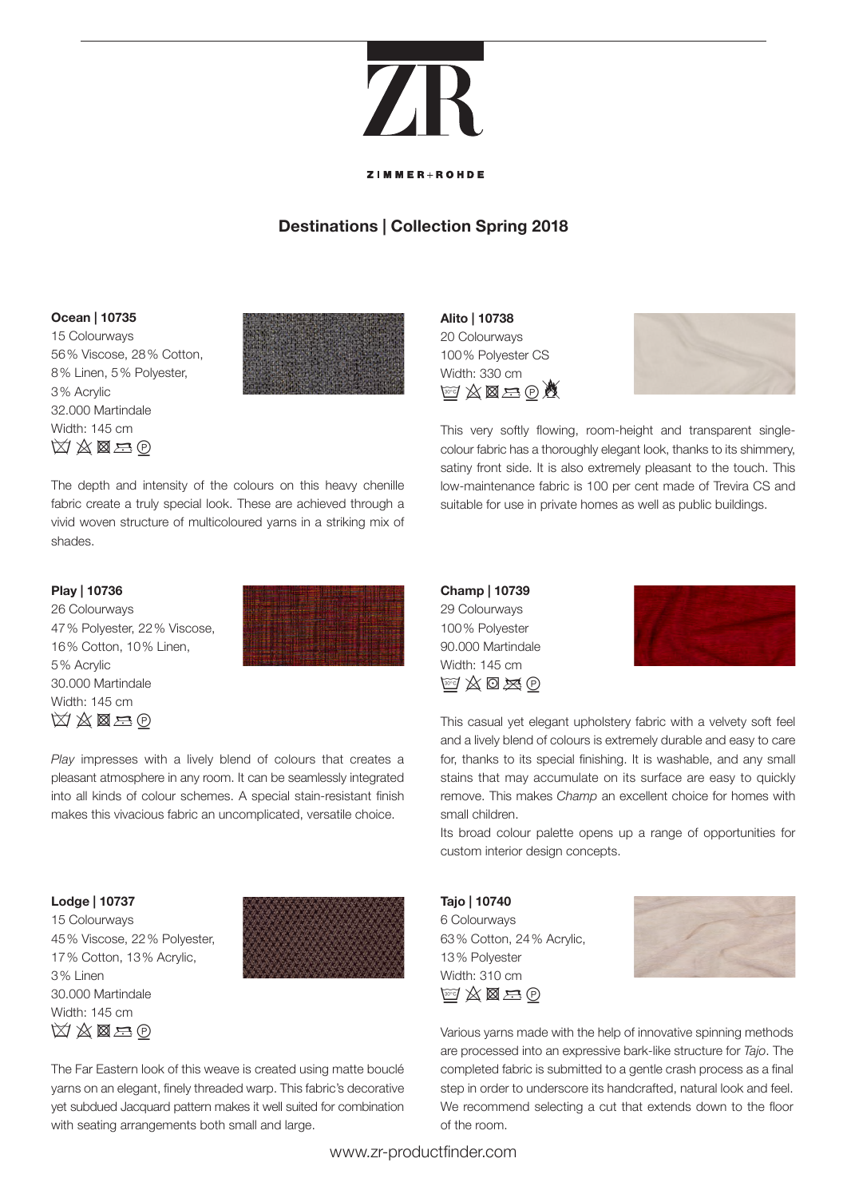## $\mathbf{Z}$

#### **ZIMMER**IPOHDE

### **Destinations | Collection Spring 2018**

#### **Ocean | 10735**

15 Colourways 56% Viscose, 28% Cotton, 8% Linen, 5% Polyester, 3% Acrylic 32.000 Martindale Width: 145 cm  $\boxtimes \boxtimes \boxtimes = 0$ 



**Alito | 10738** 20 Colourways 100% Polyester CS Width: 330 cm  $w \times \boxtimes = 0$ 



This very softly flowing, room-height and transparent singlecolour fabric has a thoroughly elegant look, thanks to its shimmery, satiny front side. It is also extremely pleasant to the touch. This low-maintenance fabric is 100 per cent made of Trevira CS and suitable for use in private homes as well as public buildings.

#### **Play | 10736**

shades.

26 Colourways 47% Polyester, 22% Viscose, 16% Cotton, 10% Linen, 5% Acrylic 30.000 Martindale Width: 145 cm  $\boxtimes\boxtimes\boxtimes$ 



*Play* impresses with a lively blend of colours that creates a pleasant atmosphere in any room. It can be seamlessly integrated into all kinds of colour schemes. A special stain-resistant finish makes this vivacious fabric an uncomplicated, versatile choice.

The depth and intensity of the colours on this heavy chenille fabric create a truly special look. These are achieved through a vivid woven structure of multicoloured yarns in a striking mix of

#### **Lodge | 10737**

15 Colourways 45% Viscose, 22% Polyester, 17% Cotton, 13% Acrylic, 3% Linen 30.000 Martindale Width: 145 cm  $\boxtimes\boxtimes\boxtimes$ 



The Far Eastern look of this weave is created using matte bouclé yarns on an elegant, finely threaded warp. This fabric's decorative yet subdued Jacquard pattern makes it well suited for combination with seating arrangements both small and large.

**Champ | 10739** 29 Colourways 100% Polyester 90.000 Martindale Width: 145 cm  $\mathbb{F}$   $\mathbb{Z}$   $\mathbb{O}$   $\mathbb{Z}$   $\Theta$ 



This casual yet elegant upholstery fabric with a velvety soft feel and a lively blend of colours is extremely durable and easy to care for, thanks to its special finishing. It is washable, and any small stains that may accumulate on its surface are easy to quickly remove. This makes *Champ* an excellent choice for homes with small children.

Its broad colour palette opens up a range of opportunities for custom interior design concepts.

**Tajo | 10740** 6 Colourways 63% Cotton, 24% Acrylic, 13% Polyester Width: 310 cm  $\mathbb{F} \rtimes \mathbb{Z} \to 0$ 



Various yarns made with the help of innovative spinning methods are processed into an expressive bark-like structure for *Tajo*. The completed fabric is submitted to a gentle crash process as a final step in order to underscore its handcrafted, natural look and feel. We recommend selecting a cut that extends down to the floor of the room.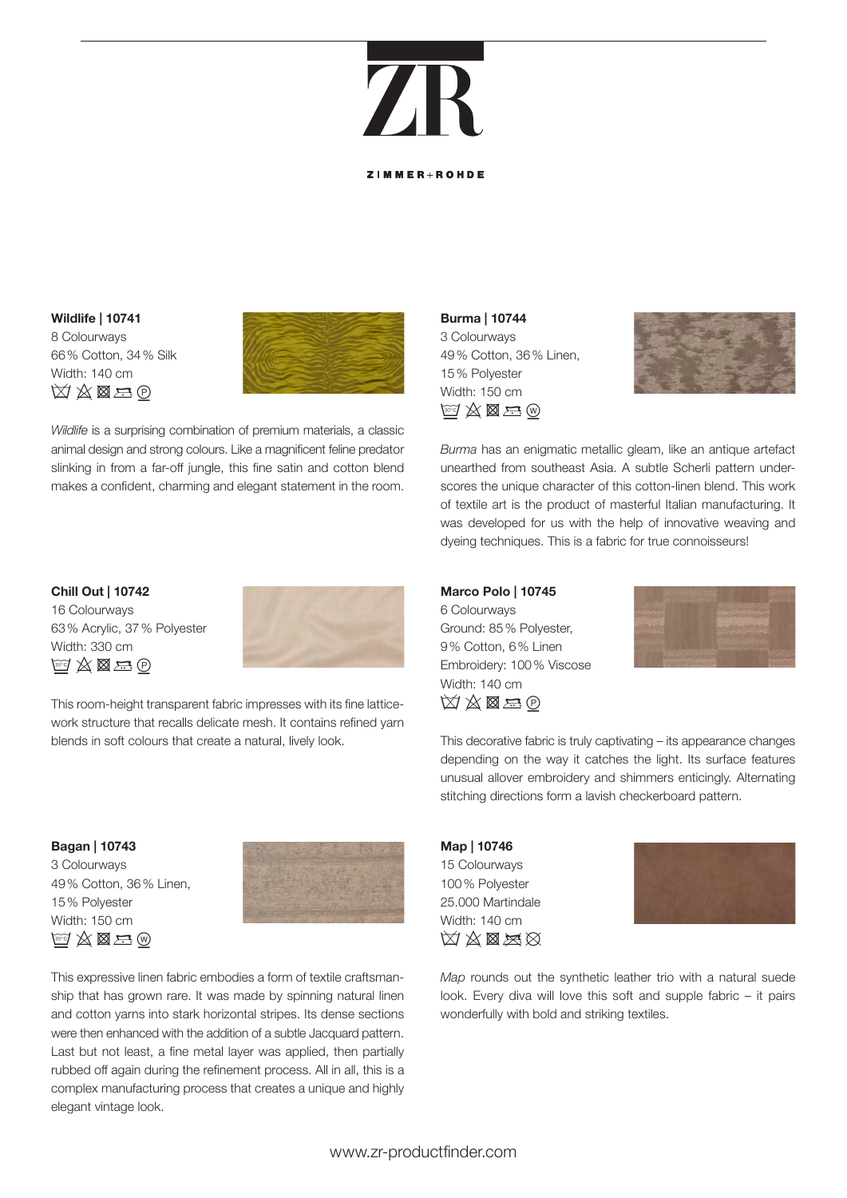### $\mathbf{Z}$ **ZIMMER**IPOHDE

#### **Wildlife | 10741** 8 Colourways 66% Cotton, 34% Silk Width: 140 cm  $\boxtimes \boxtimes \boxtimes \oplus$



*Wildlife* is a surprising combination of premium materials, a classic animal design and strong colours. Like a magnificent feline predator slinking in from a far-off jungle, this fine satin and cotton blend makes a confident, charming and elegant statement in the room. **Burma | 10744** 3 Colourways 49% Cotton, 36% Linen, 15% Polyester Width: 150 cm  $\mathbb{F} \boxtimes \boxtimes \boxtimes$ 



*Burma* has an enigmatic metallic gleam, like an antique artefact unearthed from southeast Asia. A subtle Scherli pattern underscores the unique character of this cotton-linen blend. This work of textile art is the product of masterful Italian manufacturing. It was developed for us with the help of innovative weaving and dyeing techniques. This is a fabric for true connoisseurs!

**Chill Out | 10742** 16 Colourways 63% Acrylic, 37% Polyester Width: 330 cm  $G\not\cong\boxtimes\boxtimes$ 



This room-height transparent fabric impresses with its fine latticework structure that recalls delicate mesh. It contains refined yarn blends in soft colours that create a natural, lively look.

#### **Bagan | 10743**

3 Colourways 49% Cotton, 36% Linen, 15% Polyester Width: 150 cm  $\mathbb{F}^7\boxtimes\boxtimes\boxtimes\oplus$ 



This expressive linen fabric embodies a form of textile craftsmanship that has grown rare. It was made by spinning natural linen and cotton yarns into stark horizontal stripes. Its dense sections were then enhanced with the addition of a subtle Jacquard pattern. Last but not least, a fine metal layer was applied, then partially rubbed off again during the refinement process. All in all, this is a complex manufacturing process that creates a unique and highly elegant vintage look.

**Marco Polo | 10745** 6 Colourways Ground: 85% Polyester, 9% Cotton, 6% Linen Embroidery: 100% Viscose Width: 140 cm  $\boxtimes\boxtimes\boxtimes$ 



This decorative fabric is truly captivating – its appearance changes depending on the way it catches the light. Its surface features unusual allover embroidery and shimmers enticingly. Alternating stitching directions form a lavish checkerboard pattern.

**Map | 10746** 15 Colourways 100% Polyester 25.000 Martindale Width: 140 cm  $\boxtimes$   $\boxtimes$   $\boxtimes$ 



*Map* rounds out the synthetic leather trio with a natural suede look. Every diva will love this soft and supple fabric – it pairs wonderfully with bold and striking textiles.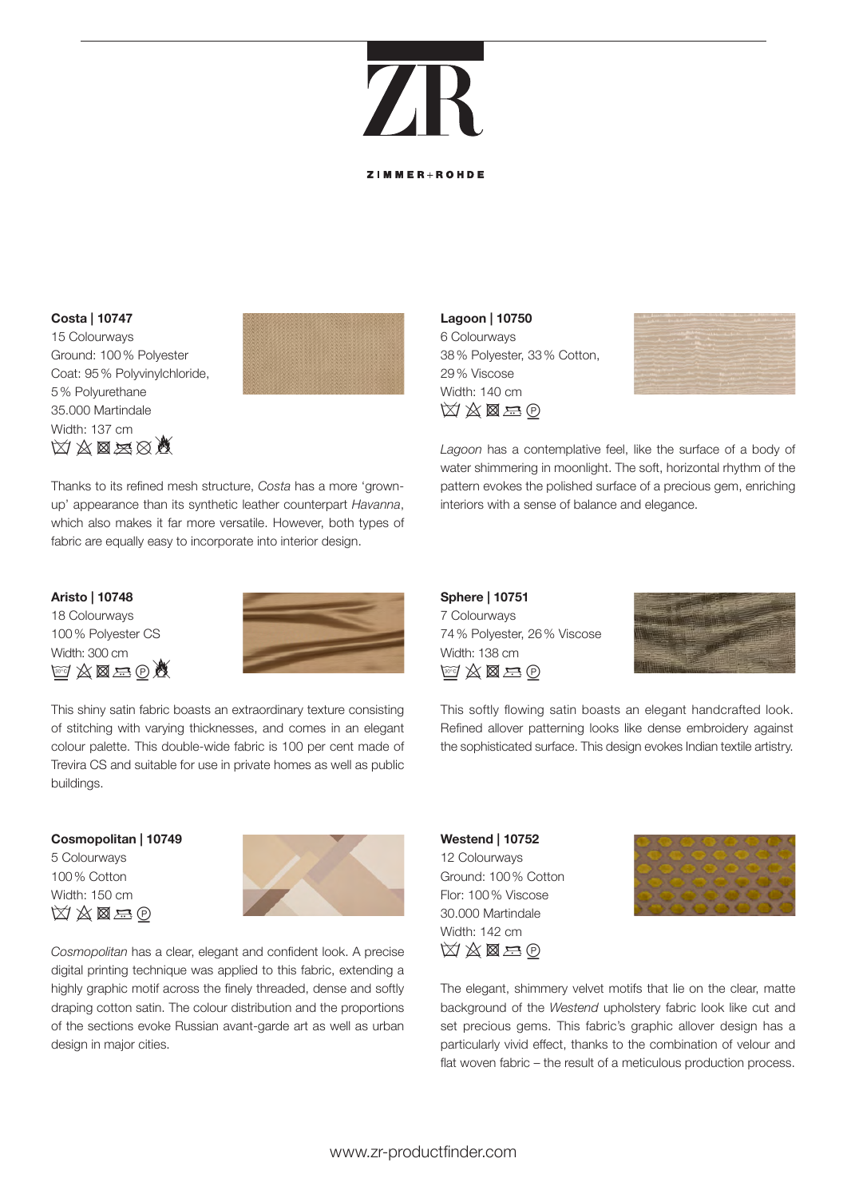### ZF **ZIMMED POHDE**

#### **Costa | 10747**

15 Colourways Ground: 100% Polyester Coat: 95% Polyvinylchloride, 5% Polyurethane 35.000 Martindale Width: 137 cm  $\boxtimes\boxtimes\boxtimes\boxtimes\boxtimes$ 



Thanks to its refined mesh structure, *Costa* has a more 'grownup' appearance than its synthetic leather counterpart *Havanna*, which also makes it far more versatile. However, both types of fabric are equally easy to incorporate into interior design.

#### **Aristo | 10748**

18 Colourways 100% Polyester CS Width: 300 cm  $A \boxtimes B = 0$ 



This shiny satin fabric boasts an extraordinary texture consisting of stitching with varying thicknesses, and comes in an elegant colour palette. This double-wide fabric is 100 per cent made of Trevira CS and suitable for use in private homes as well as public buildings.

#### **Cosmopolitan | 10749**

5 Colourways 100% Cotton Width: 150 cm  $\boxtimes \boxtimes \boxtimes \oplus$ 



*Cosmopolitan* has a clear, elegant and confident look. A precise digital printing technique was applied to this fabric, extending a highly graphic motif across the finely threaded, dense and softly draping cotton satin. The colour distribution and the proportions of the sections evoke Russian avant-garde art as well as urban design in major cities.

**Lagoon | 10750** 6 Colourways 38% Polyester, 33% Cotton, 29% Viscose Width: 140 cm  $\boxtimes\boxtimes\boxtimes$ 



*Lagoon* has a contemplative feel, like the surface of a body of water shimmering in moonlight. The soft, horizontal rhythm of the pattern evokes the polished surface of a precious gem, enriching interiors with a sense of balance and elegance.

**Sphere | 10751** 7 Colourways 74% Polyester, 26% Viscose Width: 138 cm  $\mathbb{F} \rtimes \mathbb{Z} \to 0$ 



This softly flowing satin boasts an elegant handcrafted look. Refined allover patterning looks like dense embroidery against the sophisticated surface. This design evokes Indian textile artistry.

#### **Westend | 10752** 12 Colourways Ground: 100% Cotton Flor: 100% Viscose 30.000 Martindale Width: 142 cm  $\boxtimes\boxtimes\boxtimes$



The elegant, shimmery velvet motifs that lie on the clear, matte background of the *Westend* upholstery fabric look like cut and set precious gems. This fabric's graphic allover design has a particularly vivid effect, thanks to the combination of velour and flat woven fabric – the result of a meticulous production process.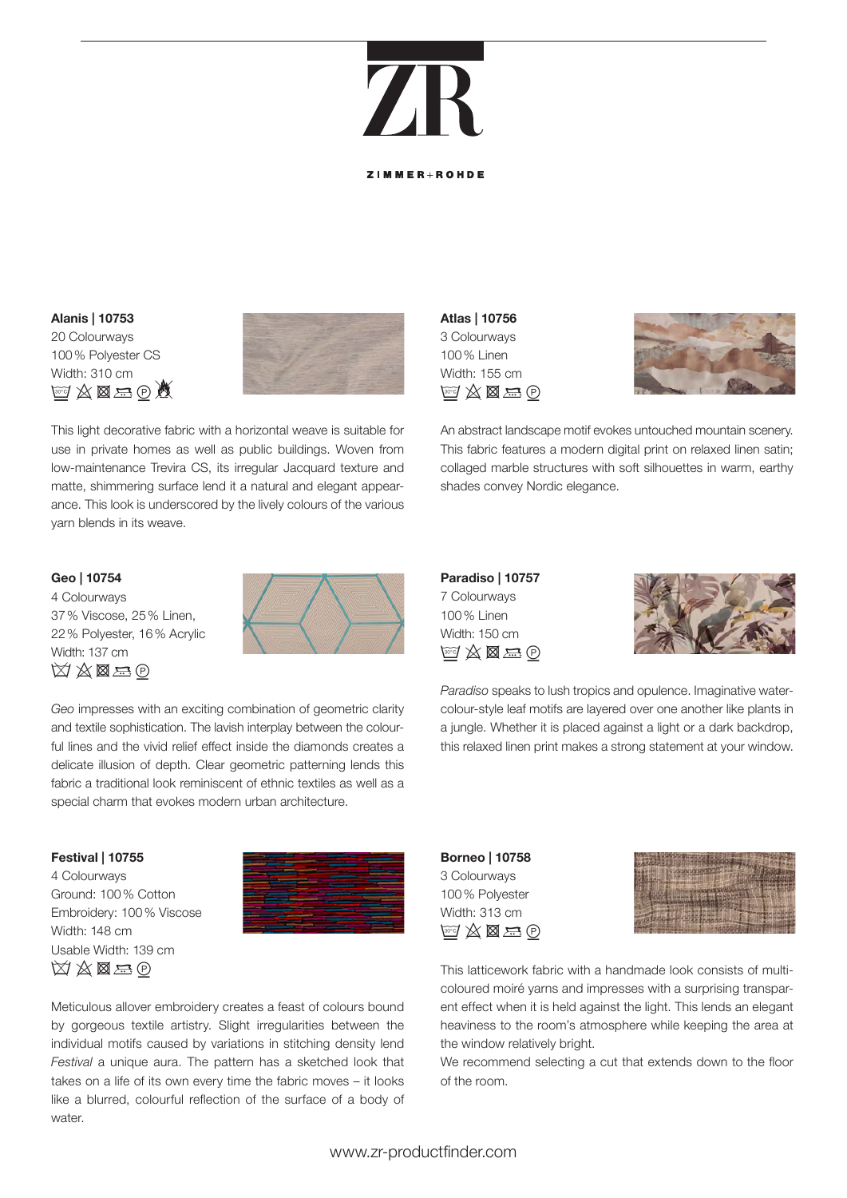**ZIMMER**IPOHDE

#### **Alanis | 10753** 20 Colourways 100% Polyester CS Width: 310 cm  $id \triangle \boxtimes \oplus \triangle$



This light decorative fabric with a horizontal weave is suitable for use in private homes as well as public buildings. Woven from low-maintenance Trevira CS, its irregular Jacquard texture and matte, shimmering surface lend it a natural and elegant appearance. This look is underscored by the lively colours of the various yarn blends in its weave.

#### **Geo | 10754**

4 Colourways 37% Viscose, 25% Linen, 22% Polyester, 16% Acrylic Width: 137 cm  $\boxtimes\boxtimes\boxtimes$ 



*Geo* impresses with an exciting combination of geometric clarity and textile sophistication. The lavish interplay between the colourful lines and the vivid relief effect inside the diamonds creates a delicate illusion of depth. Clear geometric patterning lends this fabric a traditional look reminiscent of ethnic textiles as well as a special charm that evokes modern urban architecture.

#### **Festival | 10755**

4 Colourways Ground: 100% Cotton Embroidery: 100% Viscose Width: 148 cm Usable Width: 139 cm  $\boxtimes \boxtimes \boxtimes \oplus$ 



Meticulous allover embroidery creates a feast of colours bound by gorgeous textile artistry. Slight irregularities between the individual motifs caused by variations in stitching density lend *Festival* a unique aura. The pattern has a sketched look that takes on a life of its own every time the fabric moves – it looks like a blurred, colourful reflection of the surface of a body of water.

**Atlas | 10756** 3 Colourways 100% Linen Width: 155 cm  $\boxdot \otimes \boxtimes \boxtimes \oplus$ 



An abstract landscape motif evokes untouched mountain scenery. This fabric features a modern digital print on relaxed linen satin; collaged marble structures with soft silhouettes in warm, earthy shades convey Nordic elegance.

#### **Paradiso | 10757** 7 Colourways 100% Linen Width: 150 cm  $\mathbb{F}$   $\mathbb{Z}$   $\mathbb{Z}$   $\mathbb{R}$   $\oplus$



*Paradiso* speaks to lush tropics and opulence. Imaginative watercolour-style leaf motifs are layered over one another like plants in a jungle. Whether it is placed against a light or a dark backdrop, this relaxed linen print makes a strong statement at your window.

#### **Borneo | 10758** 3 Colourways 100% Polyester Width: 313 cm  $\mathbb{F} \boxtimes \boxtimes \boxtimes \oplus$



This latticework fabric with a handmade look consists of multicoloured moiré yarns and impresses with a surprising transparent effect when it is held against the light. This lends an elegant heaviness to the room's atmosphere while keeping the area at the window relatively bright.

We recommend selecting a cut that extends down to the floor of the room.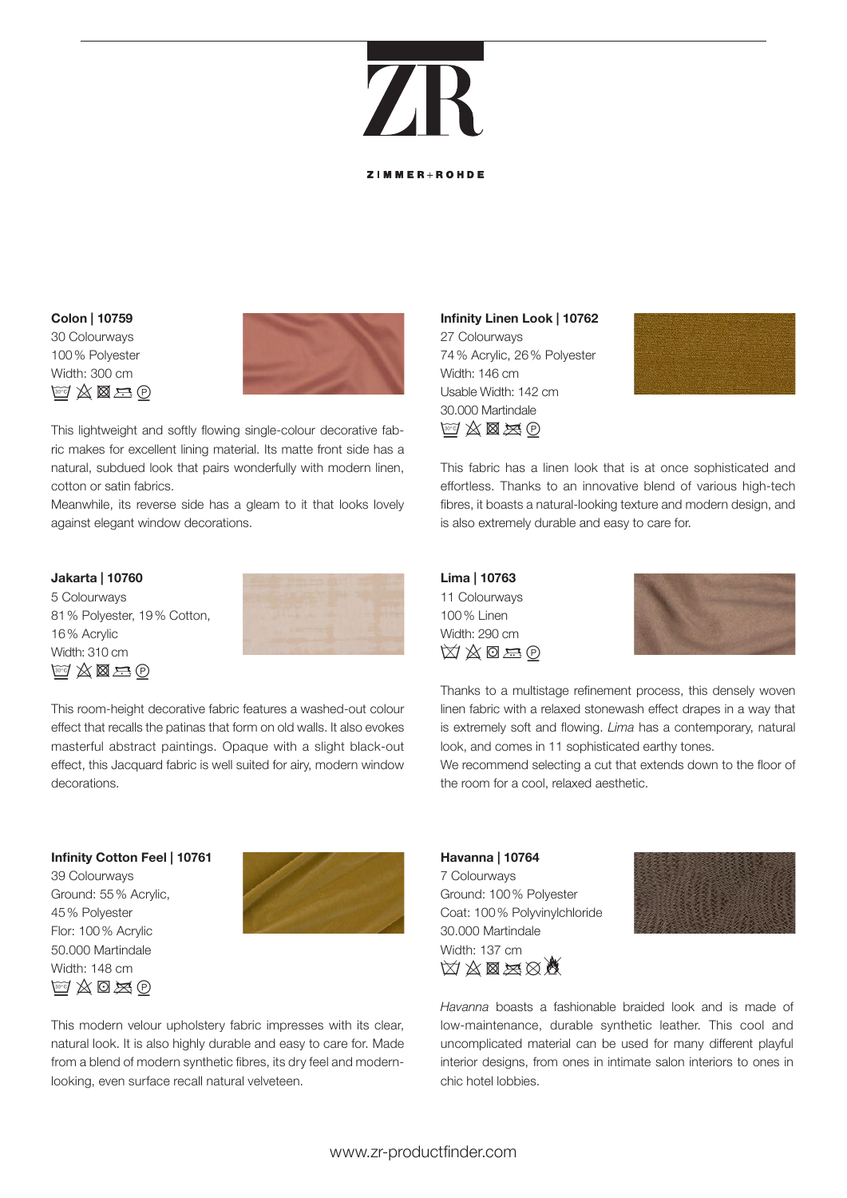### ZF **ZIMMER**IPOHDE

#### **Colon | 10759** 30 Colourways 100% Polyester Width: 300 cm  $M \otimes \mathbb{Z} \oplus \mathbb{Z}$



This lightweight and softly flowing single-colour decorative fabric makes for excellent lining material. Its matte front side has a natural, subdued look that pairs wonderfully with modern linen, cotton or satin fabrics.

Meanwhile, its reverse side has a gleam to it that looks lovely against elegant window decorations.

#### **Jakarta | 10760**

5 Colourways 81% Polyester, 19% Cotton, 16% Acrylic Width: 310 cm  $^{\mathrm{ref}}\mathbb{X}$   $\boxtimes$   $\oplus$ 



This room-height decorative fabric features a washed-out colour effect that recalls the patinas that form on old walls. It also evokes masterful abstract paintings. Opaque with a slight black-out effect, this Jacquard fabric is well suited for airy, modern window decorations.

#### **Infinity Cotton Feel | 10761**

39 Colourways Ground: 55% Acrylic, 45% Polyester Flor: 100% Acrylic 50.000 Martindale Width: 148 cm  $\mathbb{F}$   $\mathbb{Z}$   $\mathbb{Z}$   $\mathbb{D}$   $\mathbb{Z}$   $\mathbb{D}$ 



This modern velour upholstery fabric impresses with its clear, natural look. It is also highly durable and easy to care for. Made from a blend of modern synthetic fibres, its dry feel and modernlooking, even surface recall natural velveteen.

#### **Infinity Linen Look | 10762** 27 Colourways 74% Acrylic, 26% Polyester Width: 146 cm Usable Width: 142 cm 30.000 Martindale  $\mathbb{F}$   $\mathbb{Z}$   $\mathbb{Z}$   $\mathbb{Z}$   $\oplus$



This fabric has a linen look that is at once sophisticated and effortless. Thanks to an innovative blend of various high-tech fibres, it boasts a natural-looking texture and modern design, and is also extremely durable and easy to care for.

#### **Lima | 10763** 11 Colourways 100% Linen Width: 290 cm  $\boxtimes \boxtimes \boxtimes \oplus$



Thanks to a multistage refinement process, this densely woven linen fabric with a relaxed stonewash effect drapes in a way that is extremely soft and flowing. *Lima* has a contemporary, natural look, and comes in 11 sophisticated earthy tones.

We recommend selecting a cut that extends down to the floor of the room for a cool, relaxed aesthetic.

#### **Havanna | 10764** 7 Colourways Ground: 100% Polyester Coat: 100% Polyvinylchloride 30.000 Martindale Width: 137 cm **MA** & BA



*Havanna* boasts a fashionable braided look and is made of low-maintenance, durable synthetic leather. This cool and uncomplicated material can be used for many different playful interior designs, from ones in intimate salon interiors to ones in chic hotel lobbies.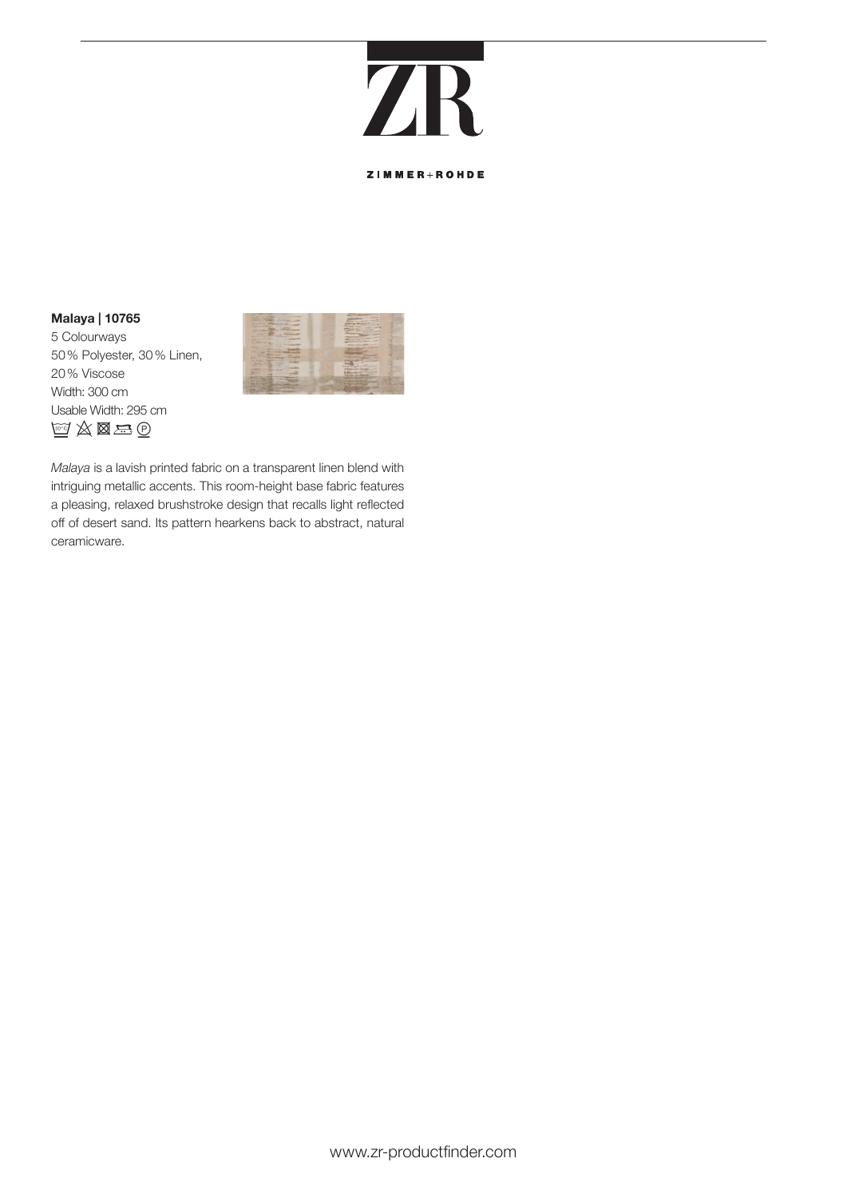## **7F**

ZIMMER+ROHDE

#### **Malaya | 10765**

5 Colourways 50% Polyester, 30% Linen, 20% Viscose Width: 300 cm Usable Width: 295 cm  $\mathbb{F}$   $\mathbb{Z} \boxtimes \mathbb{Z} \oplus$ 



*Malaya* is a lavish printed fabric on a transparent linen blend with intriguing metallic accents. This room-height base fabric features a pleasing, relaxed brushstroke design that recalls light reflected off of desert sand. Its pattern hearkens back to abstract, natural ceramicware.